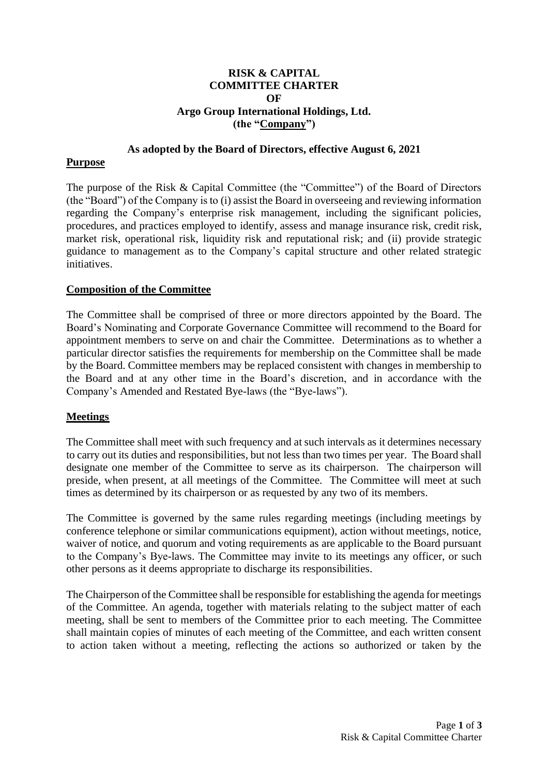## **RISK & CAPITAL COMMITTEE CHARTER OF Argo Group International Holdings, Ltd. (the "Company")**

#### **As adopted by the Board of Directors, effective August 6, 2021**

#### **Purpose**

The purpose of the Risk & Capital Committee (the "Committee") of the Board of Directors (the "Board") of the Company is to (i) assist the Board in overseeing and reviewing information regarding the Company's enterprise risk management, including the significant policies, procedures, and practices employed to identify, assess and manage insurance risk, credit risk, market risk, operational risk, liquidity risk and reputational risk; and (ii) provide strategic guidance to management as to the Company's capital structure and other related strategic initiatives.

## **Composition of the Committee**

The Committee shall be comprised of three or more directors appointed by the Board. The Board's Nominating and Corporate Governance Committee will recommend to the Board for appointment members to serve on and chair the Committee. Determinations as to whether a particular director satisfies the requirements for membership on the Committee shall be made by the Board. Committee members may be replaced consistent with changes in membership to the Board and at any other time in the Board's discretion, and in accordance with the Company's Amended and Restated Bye-laws (the "Bye-laws").

# **Meetings**

The Committee shall meet with such frequency and at such intervals as it determines necessary to carry out its duties and responsibilities, but not less than two times per year. The Board shall designate one member of the Committee to serve as its chairperson. The chairperson will preside, when present, at all meetings of the Committee. The Committee will meet at such times as determined by its chairperson or as requested by any two of its members.

The Committee is governed by the same rules regarding meetings (including meetings by conference telephone or similar communications equipment), action without meetings, notice, waiver of notice, and quorum and voting requirements as are applicable to the Board pursuant to the Company's Bye-laws. The Committee may invite to its meetings any officer, or such other persons as it deems appropriate to discharge its responsibilities.

The Chairperson of the Committee shall be responsible for establishing the agenda for meetings of the Committee. An agenda, together with materials relating to the subject matter of each meeting, shall be sent to members of the Committee prior to each meeting. The Committee shall maintain copies of minutes of each meeting of the Committee, and each written consent to action taken without a meeting, reflecting the actions so authorized or taken by the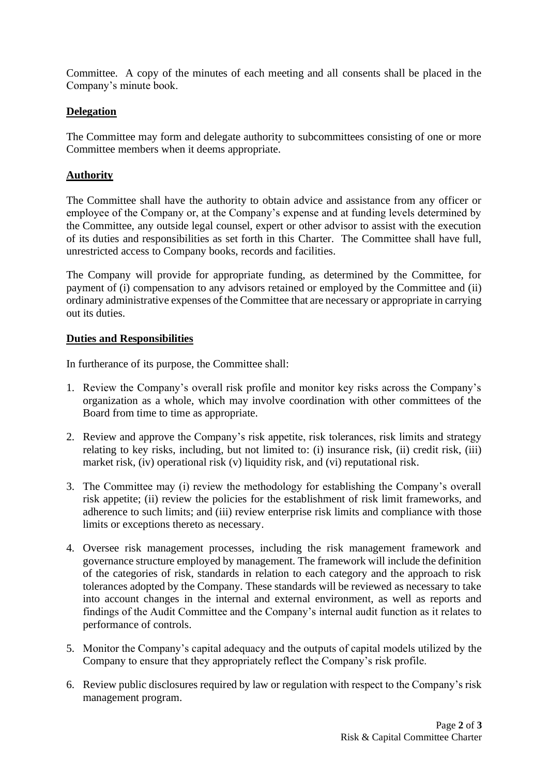Committee. A copy of the minutes of each meeting and all consents shall be placed in the Company's minute book.

# **Delegation**

The Committee may form and delegate authority to subcommittees consisting of one or more Committee members when it deems appropriate.

## **Authority**

The Committee shall have the authority to obtain advice and assistance from any officer or employee of the Company or, at the Company's expense and at funding levels determined by the Committee, any outside legal counsel, expert or other advisor to assist with the execution of its duties and responsibilities as set forth in this Charter. The Committee shall have full, unrestricted access to Company books, records and facilities.

The Company will provide for appropriate funding, as determined by the Committee, for payment of (i) compensation to any advisors retained or employed by the Committee and (ii) ordinary administrative expenses of the Committee that are necessary or appropriate in carrying out its duties.

## **Duties and Responsibilities**

In furtherance of its purpose, the Committee shall:

- 1. Review the Company's overall risk profile and monitor key risks across the Company's organization as a whole, which may involve coordination with other committees of the Board from time to time as appropriate.
- 2. Review and approve the Company's risk appetite, risk tolerances, risk limits and strategy relating to key risks, including, but not limited to: (i) insurance risk, (ii) credit risk, (iii) market risk, (iv) operational risk (v) liquidity risk, and (vi) reputational risk.
- 3. The Committee may (i) review the methodology for establishing the Company's overall risk appetite; (ii) review the policies for the establishment of risk limit frameworks, and adherence to such limits; and (iii) review enterprise risk limits and compliance with those limits or exceptions thereto as necessary.
- 4. Oversee risk management processes, including the risk management framework and governance structure employed by management. The framework will include the definition of the categories of risk, standards in relation to each category and the approach to risk tolerances adopted by the Company. These standards will be reviewed as necessary to take into account changes in the internal and external environment, as well as reports and findings of the Audit Committee and the Company's internal audit function as it relates to performance of controls.
- 5. Monitor the Company's capital adequacy and the outputs of capital models utilized by the Company to ensure that they appropriately reflect the Company's risk profile.
- 6. Review public disclosures required by law or regulation with respect to the Company's risk management program.